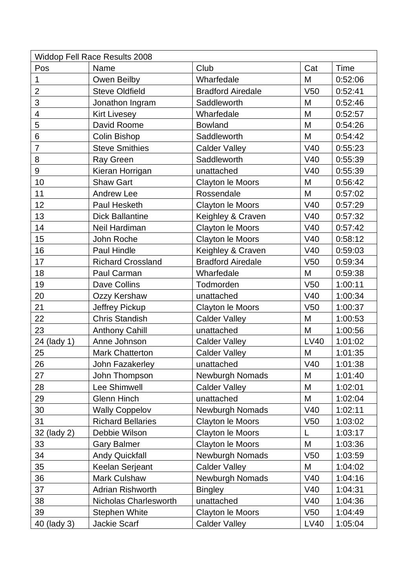| <b>Widdop Fell Race Results 2008</b> |                              |                          |                 |             |  |  |  |
|--------------------------------------|------------------------------|--------------------------|-----------------|-------------|--|--|--|
| Pos                                  | Name                         | Club                     | Cat             | <b>Time</b> |  |  |  |
| $\mathbf 1$                          | Owen Beilby                  | Wharfedale               | M               | 0:52:06     |  |  |  |
| $\overline{2}$                       | <b>Steve Oldfield</b>        | <b>Bradford Airedale</b> | V <sub>50</sub> | 0:52:41     |  |  |  |
| 3                                    | Jonathon Ingram              | Saddleworth              | M               | 0:52:46     |  |  |  |
| 4                                    | <b>Kirt Livesey</b>          | Wharfedale               | M               | 0:52:57     |  |  |  |
| 5                                    | David Roome                  | <b>Bowland</b>           | M               | 0:54:26     |  |  |  |
| $6\phantom{1}$                       | <b>Colin Bishop</b>          | Saddleworth              | M               | 0:54:42     |  |  |  |
| $\overline{7}$                       | <b>Steve Smithies</b>        | <b>Calder Valley</b>     | V40             | 0:55:23     |  |  |  |
| 8                                    | <b>Ray Green</b>             | Saddleworth              | V40             | 0:55:39     |  |  |  |
| 9                                    | Kieran Horrigan              | unattached               | V40             | 0:55:39     |  |  |  |
| 10                                   | <b>Shaw Gart</b>             | <b>Clayton le Moors</b>  | M               | 0:56:42     |  |  |  |
| 11                                   | Andrew Lee                   | Rossendale               | M               | 0:57:02     |  |  |  |
| 12                                   | Paul Hesketh                 | <b>Clayton le Moors</b>  | V40             | 0:57:29     |  |  |  |
| 13                                   | <b>Dick Ballantine</b>       | Keighley & Craven        | V40             | 0:57:32     |  |  |  |
| 14                                   | Neil Hardiman                | Clayton le Moors         | V40             | 0:57:42     |  |  |  |
| 15                                   | John Roche                   | Clayton le Moors         | V40             | 0:58:12     |  |  |  |
| 16                                   | Paul Hindle                  | Keighley & Craven        | V40             | 0:59:03     |  |  |  |
| 17                                   | <b>Richard Crossland</b>     | <b>Bradford Airedale</b> | V <sub>50</sub> | 0:59:34     |  |  |  |
| 18                                   | Paul Carman                  | Wharfedale               | M               | 0:59:38     |  |  |  |
| 19                                   | Dave Collins                 | Todmorden                | V <sub>50</sub> | 1:00:11     |  |  |  |
| 20                                   | Ozzy Kershaw                 | unattached               | V40             | 1:00:34     |  |  |  |
| 21                                   | Jeffrey Pickup               | <b>Clayton le Moors</b>  | V <sub>50</sub> | 1:00:37     |  |  |  |
| 22                                   | <b>Chris Standish</b>        | <b>Calder Valley</b>     | M               | 1:00:53     |  |  |  |
| 23                                   | <b>Anthony Cahill</b>        | unattached               | M               | 1:00:56     |  |  |  |
| 24 (lady 1)                          | Anne Johnson                 | <b>Calder Valley</b>     | LV40            | 1:01:02     |  |  |  |
| 25                                   | <b>Mark Chatterton</b>       | <b>Calder Valley</b>     | M               | 1:01:35     |  |  |  |
| 26                                   | John Fazakerley              | unattached               | V40             | 1:01:38     |  |  |  |
| 27                                   | John Thompson                | <b>Newburgh Nomads</b>   | M               | 1:01:40     |  |  |  |
| 28                                   | Lee Shimwell                 | <b>Calder Valley</b>     | M               | 1:02:01     |  |  |  |
| 29                                   | <b>Glenn Hinch</b>           | unattached               | M               | 1:02:04     |  |  |  |
| 30                                   | <b>Wally Coppelov</b>        | <b>Newburgh Nomads</b>   | V40             | 1:02:11     |  |  |  |
| 31                                   | <b>Richard Bellaries</b>     | <b>Clayton le Moors</b>  | V <sub>50</sub> | 1:03:02     |  |  |  |
| 32 (lady 2)                          | Debbie Wilson                | Clayton le Moors         | L               | 1:03:17     |  |  |  |
| 33                                   | <b>Gary Balmer</b>           | <b>Clayton le Moors</b>  | M               | 1:03:36     |  |  |  |
| 34                                   | <b>Andy Quickfall</b>        | Newburgh Nomads          | V <sub>50</sub> | 1:03:59     |  |  |  |
| 35                                   | Keelan Serjeant              | <b>Calder Valley</b>     | M               | 1:04:02     |  |  |  |
| 36                                   | Mark Culshaw                 | <b>Newburgh Nomads</b>   | V40             | 1:04:16     |  |  |  |
| 37                                   | <b>Adrian Rishworth</b>      | <b>Bingley</b>           | V40             | 1:04:31     |  |  |  |
| 38                                   | <b>Nicholas Charlesworth</b> | unattached               | V40             | 1:04:36     |  |  |  |
| 39                                   | <b>Stephen White</b>         | <b>Clayton le Moors</b>  | V <sub>50</sub> | 1:04:49     |  |  |  |
| 40 (lady 3)                          | Jackie Scarf                 | <b>Calder Valley</b>     | <b>LV40</b>     | 1:05:04     |  |  |  |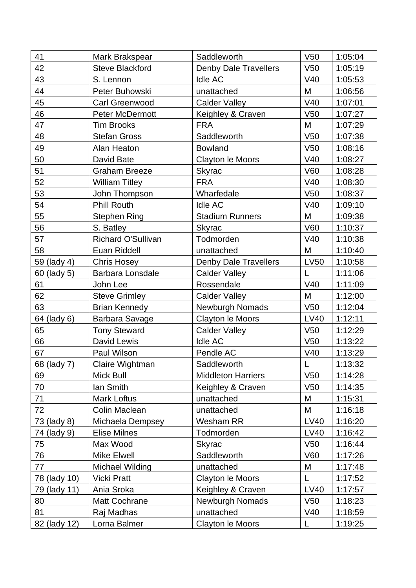| 41           | Mark Brakspear         | Saddleworth                  | V50             | 1:05:04 |
|--------------|------------------------|------------------------------|-----------------|---------|
| 42           | <b>Steve Blackford</b> | <b>Denby Dale Travellers</b> | V <sub>50</sub> | 1:05:19 |
| 43           | S. Lennon              | Idle AC                      | V40             | 1:05:53 |
| 44           | Peter Buhowski         | unattached                   | M               | 1:06:56 |
| 45           | <b>Carl Greenwood</b>  | <b>Calder Valley</b>         | V40             | 1:07:01 |
| 46           | <b>Peter McDermott</b> | Keighley & Craven            | V50             | 1:07:27 |
| 47           | <b>Tim Brooks</b>      | <b>FRA</b>                   | M               | 1:07:29 |
| 48           | <b>Stefan Gross</b>    | Saddleworth                  | V <sub>50</sub> | 1:07:38 |
| 49           | Alan Heaton            | <b>Bowland</b>               | V50             | 1:08:16 |
| 50           | David Bate             | Clayton le Moors             | V40             | 1:08:27 |
| 51           | <b>Graham Breeze</b>   | <b>Skyrac</b>                | <b>V60</b>      | 1:08:28 |
| 52           | <b>William Titley</b>  | <b>FRA</b>                   | V40             | 1:08:30 |
| 53           | John Thompson          | Wharfedale                   | V <sub>50</sub> | 1:08:37 |
| 54           | <b>Phill Routh</b>     | <b>Idle AC</b>               | V40             | 1:09:10 |
| 55           | Stephen Ring           | <b>Stadium Runners</b>       | M               | 1:09:38 |
| 56           | S. Batley              | <b>Skyrac</b>                | <b>V60</b>      | 1:10:37 |
| 57           | Richard O'Sullivan     | Todmorden                    | V40             | 1:10:38 |
| 58           | Euan Riddell           | unattached                   | M               | 1:10:40 |
| 59 (lady 4)  | <b>Chris Hosey</b>     | <b>Denby Dale Travellers</b> | <b>LV50</b>     | 1:10:58 |
| 60 (lady 5)  | Barbara Lonsdale       | <b>Calder Valley</b>         | L               | 1:11:06 |
| 61           | John Lee               | Rossendale                   | V40             | 1:11:09 |
| 62           | <b>Steve Grimley</b>   | <b>Calder Valley</b>         | M               | 1:12:00 |
| 63           | <b>Brian Kennedy</b>   | Newburgh Nomads              | V <sub>50</sub> | 1:12:04 |
| 64 (lady 6)  | Barbara Savage         | Clayton le Moors             | <b>LV40</b>     | 1:12:11 |
| 65           | <b>Tony Steward</b>    | Calder Valley                | V <sub>50</sub> | 1:12:29 |
| 66           | David Lewis            | Idle AC                      | V <sub>50</sub> | 1:13:22 |
| 67           | Paul Wilson            | Pendle AC                    | V40             | 1:13:29 |
| 68 (lady 7)  | Claire Wightman        | Saddleworth                  | $\mathsf L$     | 1:13:32 |
| 69           | Mick Bull              | <b>Middleton Harriers</b>    | V <sub>50</sub> | 1:14:28 |
| 70           | lan Smith              | Keighley & Craven            | V <sub>50</sub> | 1:14:35 |
| 71           | <b>Mark Loftus</b>     | unattached                   | M               | 1:15:31 |
| 72           | Colin Maclean          | unattached                   | M               | 1:16:18 |
| 73 (lady 8)  | Michaela Dempsey       | Wesham RR                    | <b>LV40</b>     | 1:16:20 |
| 74 (lady 9)  | <b>Elise Milnes</b>    | Todmorden                    | <b>LV40</b>     | 1:16:42 |
| 75           | Max Wood               | <b>Skyrac</b>                | V <sub>50</sub> | 1:16:44 |
| 76           | Mike Elwell            | Saddleworth                  | V60             | 1:17:26 |
| 77           | <b>Michael Wilding</b> | unattached                   | M               | 1:17:48 |
| 78 (lady 10) | <b>Vicki Pratt</b>     | <b>Clayton le Moors</b>      | L               | 1:17:52 |
| 79 (lady 11) | Ania Sroka             | Keighley & Craven            | LV40            | 1:17:57 |
| 80           | <b>Matt Cochrane</b>   | Newburgh Nomads              | V <sub>50</sub> | 1:18:23 |
| 81           | Raj Madhas             | unattached                   | V40             | 1:18:59 |
| 82 (lady 12) | Lorna Balmer           | Clayton le Moors             | L               | 1:19:25 |